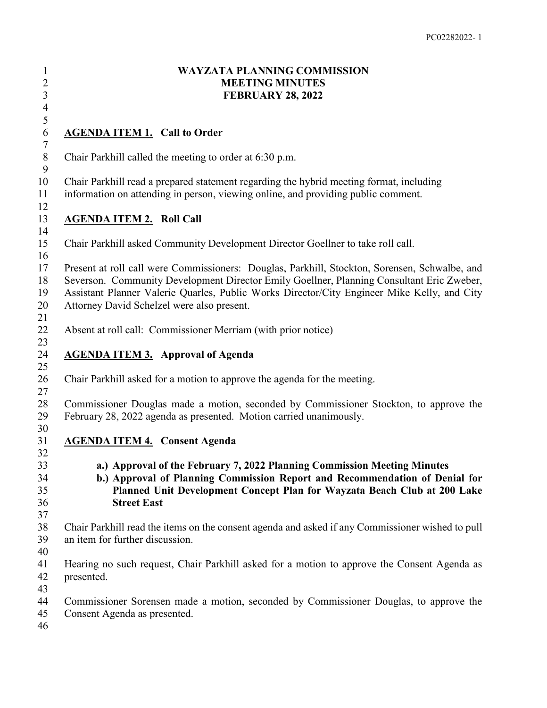| $\mathbf{1}$<br>$\begin{array}{c} 2 \\ 3 \\ 4 \end{array}$ | <b>WAYZATA PLANNING COMMISSION</b><br><b>MEETING MINUTES</b><br><b>FEBRUARY 28, 2022</b>                                                                                                                                                                                                                                                |
|------------------------------------------------------------|-----------------------------------------------------------------------------------------------------------------------------------------------------------------------------------------------------------------------------------------------------------------------------------------------------------------------------------------|
| 5<br>$\sqrt{6}$                                            | <b>AGENDA ITEM 1. Call to Order</b>                                                                                                                                                                                                                                                                                                     |
| $\boldsymbol{7}$<br>$\, 8$<br>9                            | Chair Parkhill called the meeting to order at 6:30 p.m.                                                                                                                                                                                                                                                                                 |
| 10<br>11<br>12                                             | Chair Parkhill read a prepared statement regarding the hybrid meeting format, including<br>information on attending in person, viewing online, and providing public comment.                                                                                                                                                            |
| 13<br>14                                                   | <b>AGENDA ITEM 2. Roll Call</b>                                                                                                                                                                                                                                                                                                         |
| 15                                                         | Chair Parkhill asked Community Development Director Goellner to take roll call.                                                                                                                                                                                                                                                         |
| 16<br>17<br>18<br>19<br>20                                 | Present at roll call were Commissioners: Douglas, Parkhill, Stockton, Sorensen, Schwalbe, and<br>Severson. Community Development Director Emily Goellner, Planning Consultant Eric Zweber,<br>Assistant Planner Valerie Quarles, Public Works Director/City Engineer Mike Kelly, and City<br>Attorney David Schelzel were also present. |
| 21<br>22                                                   | Absent at roll call: Commissioner Merriam (with prior notice)                                                                                                                                                                                                                                                                           |
| 23<br>24<br>25                                             | <b>AGENDA ITEM 3.</b> Approval of Agenda                                                                                                                                                                                                                                                                                                |
| 26<br>27                                                   | Chair Parkhill asked for a motion to approve the agenda for the meeting.                                                                                                                                                                                                                                                                |
| 28<br>29                                                   | Commissioner Douglas made a motion, seconded by Commissioner Stockton, to approve the<br>February 28, 2022 agenda as presented. Motion carried unanimously.                                                                                                                                                                             |
| 30<br>31<br>32                                             | <b>AGENDA ITEM 4. Consent Agenda</b>                                                                                                                                                                                                                                                                                                    |
| 33<br>34<br>35<br>36<br>37                                 | a.) Approval of the February 7, 2022 Planning Commission Meeting Minutes<br>b.) Approval of Planning Commission Report and Recommendation of Denial for<br>Planned Unit Development Concept Plan for Wayzata Beach Club at 200 Lake<br><b>Street East</b>                                                                               |
| 38<br>39<br>40                                             | Chair Parkhill read the items on the consent agenda and asked if any Commissioner wished to pull<br>an item for further discussion.                                                                                                                                                                                                     |
| 41<br>42                                                   | Hearing no such request, Chair Parkhill asked for a motion to approve the Consent Agenda as<br>presented.                                                                                                                                                                                                                               |
| 43<br>44<br>45<br>46                                       | Commissioner Sorensen made a motion, seconded by Commissioner Douglas, to approve the<br>Consent Agenda as presented.                                                                                                                                                                                                                   |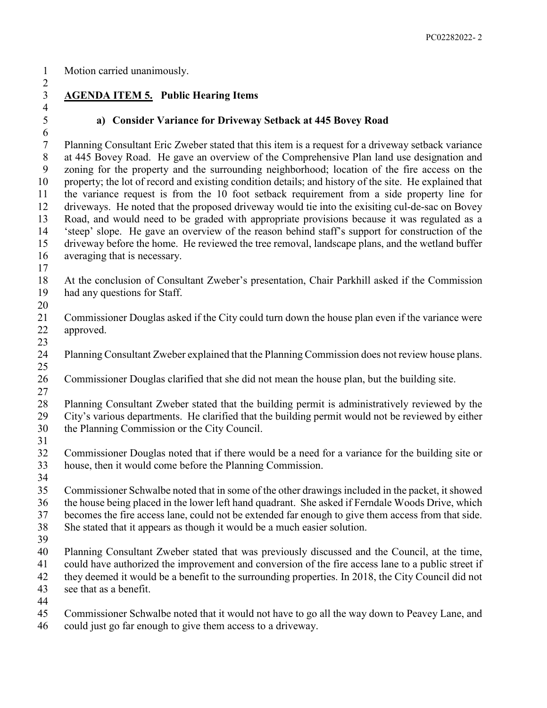Motion carried unanimously.

 $\frac{4}{5}$ 

# **AGENDA ITEM 5. Public Hearing Items**

### **a) Consider Variance for Driveway Setback at 445 Bovey Road**

 Planning Consultant Eric Zweber stated that this item is a request for a driveway setback variance at 445 Bovey Road. He gave an overview of the Comprehensive Plan land use designation and zoning for the property and the surrounding neighborhood; location of the fire access on the property; the lot of record and existing condition details; and history of the site. He explained that the variance request is from the 10 foot setback requirement from a side property line for driveways. He noted that the proposed driveway would tie into the exisiting cul-de-sac on Bovey Road, and would need to be graded with appropriate provisions because it was regulated as a 'steep' slope. He gave an overview of the reason behind staff's support for construction of the driveway before the home. He reviewed the tree removal, landscape plans, and the wetland buffer averaging that is necessary.

 At the conclusion of Consultant Zweber's presentation, Chair Parkhill asked if the Commission had any questions for Staff. 

- Commissioner Douglas asked if the City could turn down the house plan even if the variance were approved.
- 

 Planning Consultant Zweber explained that the Planning Commission does not review house plans. 

Commissioner Douglas clarified that she did not mean the house plan, but the building site.

 Planning Consultant Zweber stated that the building permit is administratively reviewed by the City's various departments. He clarified that the building permit would not be reviewed by either the Planning Commission or the City Council.

 Commissioner Douglas noted that if there would be a need for a variance for the building site or house, then it would come before the Planning Commission.

 Commissioner Schwalbe noted that in some of the other drawings included in the packet, it showed the house being placed in the lower left hand quadrant. She asked if Ferndale Woods Drive, which

becomes the fire access lane, could not be extended far enough to give them access from that side.

- She stated that it appears as though it would be a much easier solution.
- 

 Planning Consultant Zweber stated that was previously discussed and the Council, at the time, could have authorized the improvement and conversion of the fire access lane to a public street if

they deemed it would be a benefit to the surrounding properties. In 2018, the City Council did not

see that as a benefit.

Commissioner Schwalbe noted that it would not have to go all the way down to Peavey Lane, and

could just go far enough to give them access to a driveway.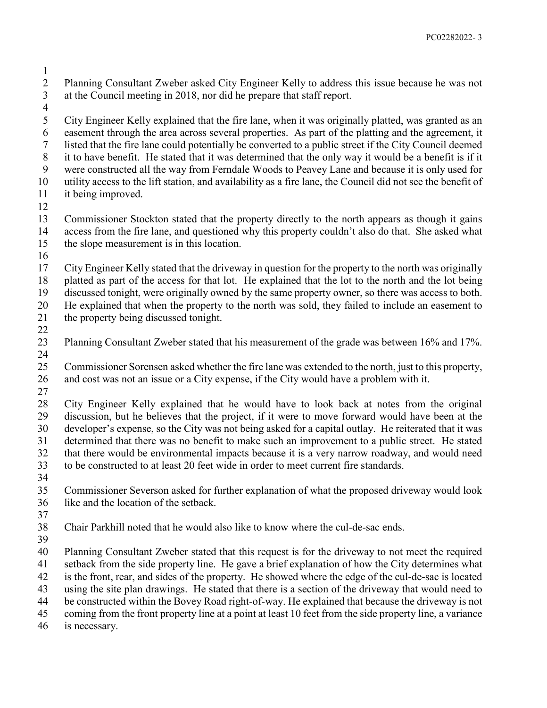- Planning Consultant Zweber asked City Engineer Kelly to address this issue because he was not at the Council meeting in 2018, nor did he prepare that staff report.
	-

 City Engineer Kelly explained that the fire lane, when it was originally platted, was granted as an easement through the area across several properties. As part of the platting and the agreement, it listed that the fire lane could potentially be converted to a public street if the City Council deemed it to have benefit. He stated that it was determined that the only way it would be a benefit is if it were constructed all the way from Ferndale Woods to Peavey Lane and because it is only used for utility access to the lift station, and availability as a fire lane, the Council did not see the benefit of it being improved.

 Commissioner Stockton stated that the property directly to the north appears as though it gains access from the fire lane, and questioned why this property couldn't also do that. She asked what the slope measurement is in this location.

 City Engineer Kelly stated that the driveway in question for the property to the north was originally platted as part of the access for that lot. He explained that the lot to the north and the lot being discussed tonight, were originally owned by the same property owner, so there was access to both.

He explained that when the property to the north was sold, they failed to include an easement to

the property being discussed tonight.

 Planning Consultant Zweber stated that his measurement of the grade was between 16% and 17%. 

 Commissioner Sorensen asked whether the fire lane was extended to the north, just to this property, and cost was not an issue or a City expense, if the City would have a problem with it.

 City Engineer Kelly explained that he would have to look back at notes from the original discussion, but he believes that the project, if it were to move forward would have been at the developer's expense, so the City was not being asked for a capital outlay. He reiterated that it was determined that there was no benefit to make such an improvement to a public street. He stated that there would be environmental impacts because it is a very narrow roadway, and would need to be constructed to at least 20 feet wide in order to meet current fire standards.

 Commissioner Severson asked for further explanation of what the proposed driveway would look like and the location of the setback.

- 
- Chair Parkhill noted that he would also like to know where the cul-de-sac ends.

 Planning Consultant Zweber stated that this request is for the driveway to not meet the required setback from the side property line. He gave a brief explanation of how the City determines what is the front, rear, and sides of the property. He showed where the edge of the cul-de-sac is located

using the site plan drawings. He stated that there is a section of the driveway that would need to

be constructed within the Bovey Road right-of-way. He explained that because the driveway is not

coming from the front property line at a point at least 10 feet from the side property line, a variance

is necessary.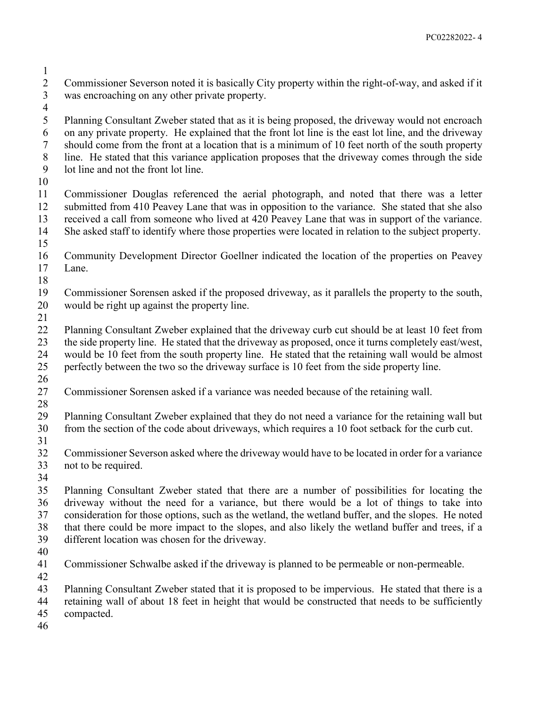- Commissioner Severson noted it is basically City property within the right-of-way, and asked if it was encroaching on any other private property.
- 

 Planning Consultant Zweber stated that as it is being proposed, the driveway would not encroach on any private property. He explained that the front lot line is the east lot line, and the driveway should come from the front at a location that is a minimum of 10 feet north of the south property line. He stated that this variance application proposes that the driveway comes through the side lot line and not the front lot line.

 Commissioner Douglas referenced the aerial photograph, and noted that there was a letter submitted from 410 Peavey Lane that was in opposition to the variance. She stated that she also received a call from someone who lived at 420 Peavey Lane that was in support of the variance. She asked staff to identify where those properties were located in relation to the subject property.

- 
- Community Development Director Goellner indicated the location of the properties on Peavey Lane.
- 

 Commissioner Sorensen asked if the proposed driveway, as it parallels the property to the south, would be right up against the property line.

 Planning Consultant Zweber explained that the driveway curb cut should be at least 10 feet from the side property line. He stated that the driveway as proposed, once it turns completely east/west, would be 10 feet from the south property line. He stated that the retaining wall would be almost perfectly between the two so the driveway surface is 10 feet from the side property line. 

- Commissioner Sorensen asked if a variance was needed because of the retaining wall.
- 

Planning Consultant Zweber explained that they do not need a variance for the retaining wall but

from the section of the code about driveways, which requires a 10 foot setback for the curb cut.

 Commissioner Severson asked where the driveway would have to be located in order for a variance not to be required.

 Planning Consultant Zweber stated that there are a number of possibilities for locating the driveway without the need for a variance, but there would be a lot of things to take into consideration for those options, such as the wetland, the wetland buffer, and the slopes. He noted that there could be more impact to the slopes, and also likely the wetland buffer and trees, if a different location was chosen for the driveway.

 Commissioner Schwalbe asked if the driveway is planned to be permeable or non-permeable. 

Planning Consultant Zweber stated that it is proposed to be impervious. He stated that there is a

 retaining wall of about 18 feet in height that would be constructed that needs to be sufficiently compacted.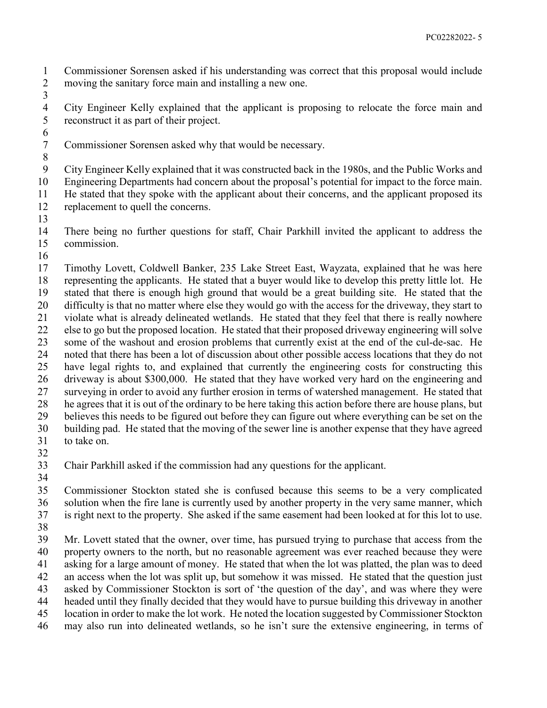Commissioner Sorensen asked if his understanding was correct that this proposal would include moving the sanitary force main and installing a new one.

4 City Engineer Kelly explained that the applicant is proposing to relocate the force main and reconstruct it as part of their project. reconstruct it as part of their project. 

Commissioner Sorensen asked why that would be necessary.

City Engineer Kelly explained that it was constructed back in the 1980s, and the Public Works and

Engineering Departments had concern about the proposal's potential for impact to the force main.

 He stated that they spoke with the applicant about their concerns, and the applicant proposed its replacement to quell the concerns.

 There being no further questions for staff, Chair Parkhill invited the applicant to address the commission.

 Timothy Lovett, Coldwell Banker, 235 Lake Street East, Wayzata, explained that he was here representing the applicants. He stated that a buyer would like to develop this pretty little lot. He stated that there is enough high ground that would be a great building site. He stated that the difficulty is that no matter where else they would go with the access for the driveway, they start to violate what is already delineated wetlands. He stated that they feel that there is really nowhere else to go but the proposed location. He stated that their proposed driveway engineering will solve some of the washout and erosion problems that currently exist at the end of the cul-de-sac. He noted that there has been a lot of discussion about other possible access locations that they do not have legal rights to, and explained that currently the engineering costs for constructing this driveway is about \$300,000. He stated that they have worked very hard on the engineering and surveying in order to avoid any further erosion in terms of watershed management. He stated that he agrees that it is out of the ordinary to be here taking this action before there are house plans, but believes this needs to be figured out before they can figure out where everything can be set on the building pad. He stated that the moving of the sewer line is another expense that they have agreed to take on.

 Chair Parkhill asked if the commission had any questions for the applicant. 

 Commissioner Stockton stated she is confused because this seems to be a very complicated solution when the fire lane is currently used by another property in the very same manner, which is right next to the property. She asked if the same easement had been looked at for this lot to use.

 Mr. Lovett stated that the owner, over time, has pursued trying to purchase that access from the property owners to the north, but no reasonable agreement was ever reached because they were asking for a large amount of money. He stated that when the lot was platted, the plan was to deed an access when the lot was split up, but somehow it was missed. He stated that the question just asked by Commissioner Stockton is sort of 'the question of the day', and was where they were headed until they finally decided that they would have to pursue building this driveway in another

location in order to make the lot work. He noted the location suggested by Commissioner Stockton

may also run into delineated wetlands, so he isn't sure the extensive engineering, in terms of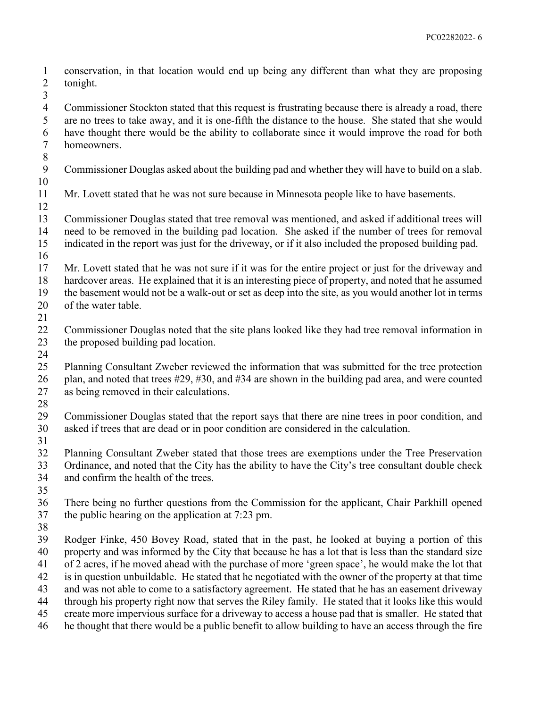- conservation, in that location would end up being any different than what they are proposing tonight.
- Commissioner Stockton stated that this request is frustrating because there is already a road, there are no trees to take away, and it is one-fifth the distance to the house. She stated that she would have thought there would be the ability to collaborate since it would improve the road for both homeowners.
- Commissioner Douglas asked about the building pad and whether they will have to build on a slab.
- 

- Mr. Lovett stated that he was not sure because in Minnesota people like to have basements.
- Commissioner Douglas stated that tree removal was mentioned, and asked if additional trees will need to be removed in the building pad location. She asked if the number of trees for removal indicated in the report was just for the driveway, or if it also included the proposed building pad.
- - Mr. Lovett stated that he was not sure if it was for the entire project or just for the driveway and hardcover areas. He explained that it is an interesting piece of property, and noted that he assumed the basement would not be a walk-out or set as deep into the site, as you would another lot in terms
- of the water table.
- 
- Commissioner Douglas noted that the site plans looked like they had tree removal information in the proposed building pad location.
- Planning Consultant Zweber reviewed the information that was submitted for the tree protection plan, and noted that trees #29, #30, and #34 are shown in the building pad area, and were counted as being removed in their calculations.
- Commissioner Douglas stated that the report says that there are nine trees in poor condition, and asked if trees that are dead or in poor condition are considered in the calculation.
- 

- Planning Consultant Zweber stated that those trees are exemptions under the Tree Preservation Ordinance, and noted that the City has the ability to have the City's tree consultant double check and confirm the health of the trees.
- 
- There being no further questions from the Commission for the applicant, Chair Parkhill opened the public hearing on the application at 7:23 pm.
- 
- Rodger Finke, 450 Bovey Road, stated that in the past, he looked at buying a portion of this property and was informed by the City that because he has a lot that is less than the standard size of 2 acres, if he moved ahead with the purchase of more 'green space', he would make the lot that is in question unbuildable. He stated that he negotiated with the owner of the property at that time and was not able to come to a satisfactory agreement. He stated that he has an easement driveway through his property right now that serves the Riley family. He stated that it looks like this would create more impervious surface for a driveway to access a house pad that is smaller. He stated that
- he thought that there would be a public benefit to allow building to have an access through the fire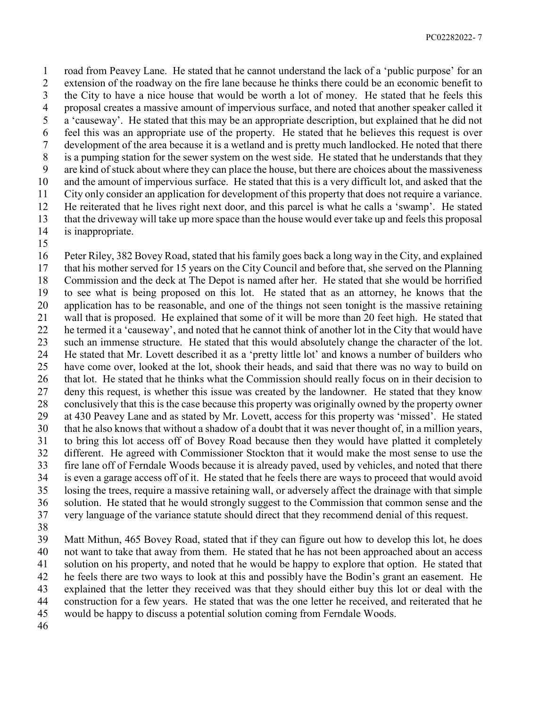road from Peavey Lane. He stated that he cannot understand the lack of a 'public purpose' for an extension of the roadway on the fire lane because he thinks there could be an economic benefit to the City to have a nice house that would be worth a lot of money. He stated that he feels this proposal creates a massive amount of impervious surface, and noted that another speaker called it a 'causeway'. He stated that this may be an appropriate description, but explained that he did not feel this was an appropriate use of the property. He stated that he believes this request is over development of the area because it is a wetland and is pretty much landlocked. He noted that there is a pumping station for the sewer system on the west side. He stated that he understands that they are kind of stuck about where they can place the house, but there are choices about the massiveness and the amount of impervious surface. He stated that this is a very difficult lot, and asked that the City only consider an application for development of this property that does not require a variance. He reiterated that he lives right next door, and this parcel is what he calls a 'swamp'. He stated that the driveway will take up more space than the house would ever take up and feels this proposal is inappropriate.

 Peter Riley, 382 Bovey Road, stated that his family goes back a long way in the City, and explained that his mother served for 15 years on the City Council and before that, she served on the Planning Commission and the deck at The Depot is named after her. He stated that she would be horrified to see what is being proposed on this lot. He stated that as an attorney, he knows that the application has to be reasonable, and one of the things not seen tonight is the massive retaining wall that is proposed. He explained that some of it will be more than 20 feet high. He stated that he termed it a 'causeway', and noted that he cannot think of another lot in the City that would have such an immense structure. He stated that this would absolutely change the character of the lot. He stated that Mr. Lovett described it as a 'pretty little lot' and knows a number of builders who have come over, looked at the lot, shook their heads, and said that there was no way to build on that lot. He stated that he thinks what the Commission should really focus on in their decision to deny this request, is whether this issue was created by the landowner. He stated that they know conclusively that this is the case because this property was originally owned by the property owner at 430 Peavey Lane and as stated by Mr. Lovett, access for this property was 'missed'. He stated that he also knows that without a shadow of a doubt that it was never thought of, in a million years, to bring this lot access off of Bovey Road because then they would have platted it completely different. He agreed with Commissioner Stockton that it would make the most sense to use the fire lane off of Ferndale Woods because it is already paved, used by vehicles, and noted that there is even a garage access off of it. He stated that he feels there are ways to proceed that would avoid losing the trees, require a massive retaining wall, or adversely affect the drainage with that simple solution. He stated that he would strongly suggest to the Commission that common sense and the very language of the variance statute should direct that they recommend denial of this request.

 Matt Mithun, 465 Bovey Road, stated that if they can figure out how to develop this lot, he does not want to take that away from them. He stated that he has not been approached about an access solution on his property, and noted that he would be happy to explore that option. He stated that he feels there are two ways to look at this and possibly have the Bodin's grant an easement. He explained that the letter they received was that they should either buy this lot or deal with the construction for a few years. He stated that was the one letter he received, and reiterated that he would be happy to discuss a potential solution coming from Ferndale Woods.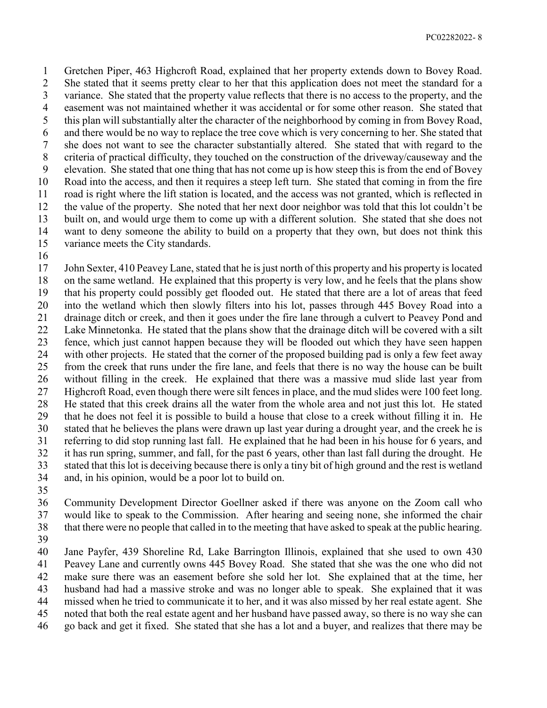Gretchen Piper, 463 Highcroft Road, explained that her property extends down to Bovey Road. She stated that it seems pretty clear to her that this application does not meet the standard for a variance. She stated that the property value reflects that there is no access to the property, and the easement was not maintained whether it was accidental or for some other reason. She stated that this plan will substantially alter the character of the neighborhood by coming in from Bovey Road, and there would be no way to replace the tree cove which is very concerning to her. She stated that she does not want to see the character substantially altered. She stated that with regard to the criteria of practical difficulty, they touched on the construction of the driveway/causeway and the elevation. She stated that one thing that has not come up is how steep this is from the end of Bovey Road into the access, and then it requires a steep left turn. She stated that coming in from the fire road is right where the lift station is located, and the access was not granted, which is reflected in the value of the property. She noted that her next door neighbor was told that this lot couldn't be built on, and would urge them to come up with a different solution. She stated that she does not want to deny someone the ability to build on a property that they own, but does not think this variance meets the City standards.

 John Sexter, 410 Peavey Lane, stated that he is just north of this property and his property is located on the same wetland. He explained that this property is very low, and he feels that the plans show that his property could possibly get flooded out. He stated that there are a lot of areas that feed into the wetland which then slowly filters into his lot, passes through 445 Bovey Road into a drainage ditch or creek, and then it goes under the fire lane through a culvert to Peavey Pond and Lake Minnetonka. He stated that the plans show that the drainage ditch will be covered with a silt fence, which just cannot happen because they will be flooded out which they have seen happen with other projects. He stated that the corner of the proposed building pad is only a few feet away from the creek that runs under the fire lane, and feels that there is no way the house can be built without filling in the creek. He explained that there was a massive mud slide last year from Highcroft Road, even though there were silt fences in place, and the mud slides were 100 feet long. He stated that this creek drains all the water from the whole area and not just this lot. He stated that he does not feel it is possible to build a house that close to a creek without filling it in. He stated that he believes the plans were drawn up last year during a drought year, and the creek he is referring to did stop running last fall. He explained that he had been in his house for 6 years, and it has run spring, summer, and fall, for the past 6 years, other than last fall during the drought. He stated that this lot is deceiving because there is only a tiny bit of high ground and the rest is wetland and, in his opinion, would be a poor lot to build on.

 Community Development Director Goellner asked if there was anyone on the Zoom call who would like to speak to the Commission. After hearing and seeing none, she informed the chair that there were no people that called in to the meeting that have asked to speak at the public hearing.

 Jane Payfer, 439 Shoreline Rd, Lake Barrington Illinois, explained that she used to own 430 Peavey Lane and currently owns 445 Bovey Road. She stated that she was the one who did not

make sure there was an easement before she sold her lot. She explained that at the time, her

husband had had a massive stroke and was no longer able to speak. She explained that it was

missed when he tried to communicate it to her, and it was also missed by her real estate agent. She

noted that both the real estate agent and her husband have passed away, so there is no way she can

go back and get it fixed. She stated that she has a lot and a buyer, and realizes that there may be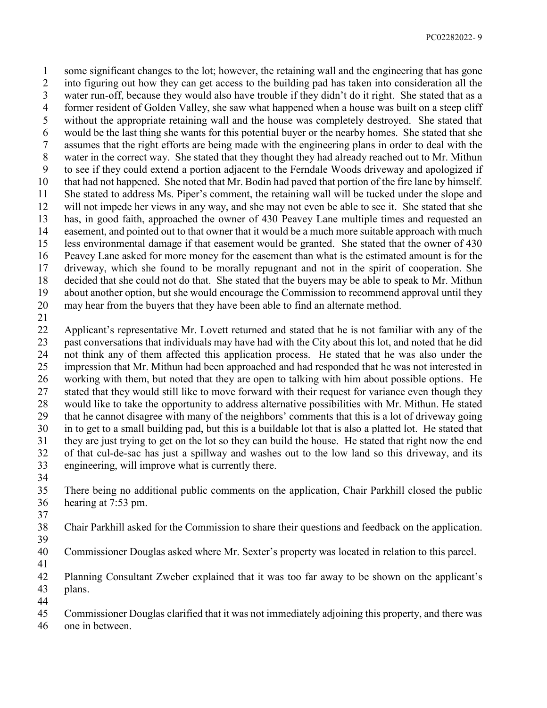some significant changes to the lot; however, the retaining wall and the engineering that has gone into figuring out how they can get access to the building pad has taken into consideration all the water run-off, because they would also have trouble if they didn't do it right. She stated that as a former resident of Golden Valley, she saw what happened when a house was built on a steep cliff without the appropriate retaining wall and the house was completely destroyed. She stated that would be the last thing she wants for this potential buyer or the nearby homes. She stated that she assumes that the right efforts are being made with the engineering plans in order to deal with the water in the correct way. She stated that they thought they had already reached out to Mr. Mithun to see if they could extend a portion adjacent to the Ferndale Woods driveway and apologized if that had not happened. She noted that Mr. Bodin had paved that portion of the fire lane by himself. She stated to address Ms. Piper's comment, the retaining wall will be tucked under the slope and will not impede her views in any way, and she may not even be able to see it. She stated that she has, in good faith, approached the owner of 430 Peavey Lane multiple times and requested an easement, and pointed out to that owner that it would be a much more suitable approach with much less environmental damage if that easement would be granted. She stated that the owner of 430 Peavey Lane asked for more money for the easement than what is the estimated amount is for the driveway, which she found to be morally repugnant and not in the spirit of cooperation. She decided that she could not do that. She stated that the buyers may be able to speak to Mr. Mithun about another option, but she would encourage the Commission to recommend approval until they may hear from the buyers that they have been able to find an alternate method.

 Applicant's representative Mr. Lovett returned and stated that he is not familiar with any of the past conversations that individuals may have had with the City about this lot, and noted that he did not think any of them affected this application process. He stated that he was also under the impression that Mr. Mithun had been approached and had responded that he was not interested in working with them, but noted that they are open to talking with him about possible options. He stated that they would still like to move forward with their request for variance even though they would like to take the opportunity to address alternative possibilities with Mr. Mithun. He stated that he cannot disagree with many of the neighbors' comments that this is a lot of driveway going in to get to a small building pad, but this is a buildable lot that is also a platted lot. He stated that they are just trying to get on the lot so they can build the house. He stated that right now the end of that cul-de-sac has just a spillway and washes out to the low land so this driveway, and its engineering, will improve what is currently there. 

 There being no additional public comments on the application, Chair Parkhill closed the public hearing at 7:53 pm.

 Chair Parkhill asked for the Commission to share their questions and feedback on the application. 

- Commissioner Douglas asked where Mr. Sexter's property was located in relation to this parcel.
- 

 Planning Consultant Zweber explained that it was too far away to be shown on the applicant's plans. 

- Commissioner Douglas clarified that it was not immediately adjoining this property, and there was
- one in between.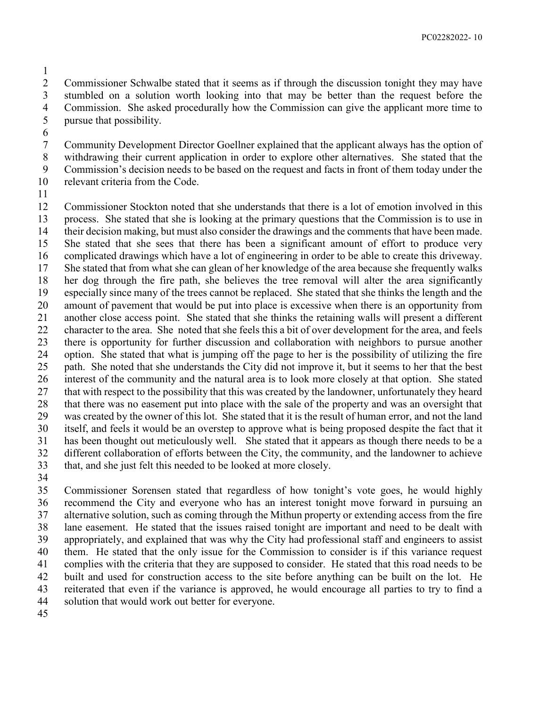Commissioner Schwalbe stated that it seems as if through the discussion tonight they may have stumbled on a solution worth looking into that may be better than the request before the Commission. She asked procedurally how the Commission can give the applicant more time to pursue that possibility.

 Community Development Director Goellner explained that the applicant always has the option of withdrawing their current application in order to explore other alternatives. She stated that the Commission's decision needs to be based on the request and facts in front of them today under the relevant criteria from the Code.

 Commissioner Stockton noted that she understands that there is a lot of emotion involved in this process. She stated that she is looking at the primary questions that the Commission is to use in their decision making, but must also consider the drawings and the comments that have been made. She stated that she sees that there has been a significant amount of effort to produce very complicated drawings which have a lot of engineering in order to be able to create this driveway. She stated that from what she can glean of her knowledge of the area because she frequently walks her dog through the fire path, she believes the tree removal will alter the area significantly especially since many of the trees cannot be replaced. She stated that she thinks the length and the amount of pavement that would be put into place is excessive when there is an opportunity from another close access point. She stated that she thinks the retaining walls will present a different character to the area. She noted that she feels this a bit of over development for the area, and feels there is opportunity for further discussion and collaboration with neighbors to pursue another option. She stated that what is jumping off the page to her is the possibility of utilizing the fire path. She noted that she understands the City did not improve it, but it seems to her that the best interest of the community and the natural area is to look more closely at that option. She stated that with respect to the possibility that this was created by the landowner, unfortunately they heard that there was no easement put into place with the sale of the property and was an oversight that was created by the owner of this lot. She stated that it is the result of human error, and not the land itself, and feels it would be an overstep to approve what is being proposed despite the fact that it has been thought out meticulously well. She stated that it appears as though there needs to be a different collaboration of efforts between the City, the community, and the landowner to achieve that, and she just felt this needed to be looked at more closely.

 Commissioner Sorensen stated that regardless of how tonight's vote goes, he would highly recommend the City and everyone who has an interest tonight move forward in pursuing an alternative solution, such as coming through the Mithun property or extending access from the fire lane easement. He stated that the issues raised tonight are important and need to be dealt with appropriately, and explained that was why the City had professional staff and engineers to assist them. He stated that the only issue for the Commission to consider is if this variance request complies with the criteria that they are supposed to consider. He stated that this road needs to be built and used for construction access to the site before anything can be built on the lot. He reiterated that even if the variance is approved, he would encourage all parties to try to find a solution that would work out better for everyone.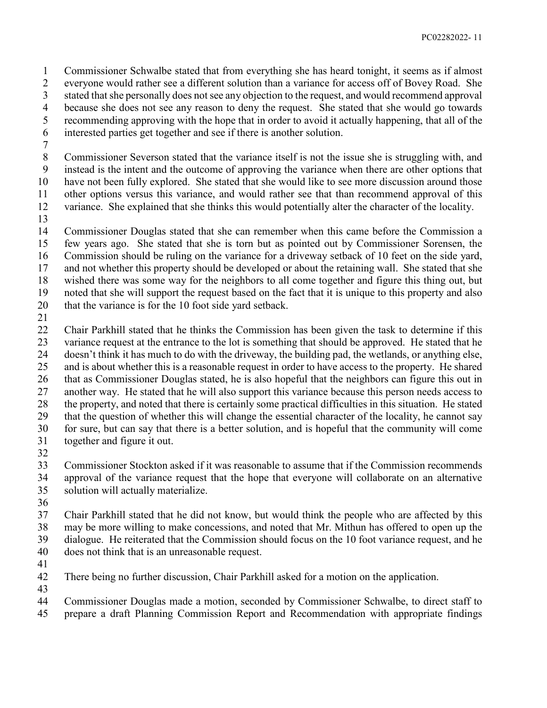Commissioner Schwalbe stated that from everything she has heard tonight, it seems as if almost everyone would rather see a different solution than a variance for access off of Bovey Road. She stated that she personally does not see any objection to the request, and would recommend approval because she does not see any reason to deny the request. She stated that she would go towards recommending approving with the hope that in order to avoid it actually happening, that all of the interested parties get together and see if there is another solution.

 Commissioner Severson stated that the variance itself is not the issue she is struggling with, and instead is the intent and the outcome of approving the variance when there are other options that have not been fully explored. She stated that she would like to see more discussion around those other options versus this variance, and would rather see that than recommend approval of this variance. She explained that she thinks this would potentially alter the character of the locality.

 Commissioner Douglas stated that she can remember when this came before the Commission a few years ago. She stated that she is torn but as pointed out by Commissioner Sorensen, the Commission should be ruling on the variance for a driveway setback of 10 feet on the side yard, and not whether this property should be developed or about the retaining wall. She stated that she wished there was some way for the neighbors to all come together and figure this thing out, but noted that she will support the request based on the fact that it is unique to this property and also that the variance is for the 10 foot side yard setback.

 Chair Parkhill stated that he thinks the Commission has been given the task to determine if this variance request at the entrance to the lot is something that should be approved. He stated that he doesn't think it has much to do with the driveway, the building pad, the wetlands, or anything else, and is about whether this is a reasonable request in order to have access to the property. He shared that as Commissioner Douglas stated, he is also hopeful that the neighbors can figure this out in another way. He stated that he will also support this variance because this person needs access to the property, and noted that there is certainly some practical difficulties in this situation. He stated that the question of whether this will change the essential character of the locality, he cannot say for sure, but can say that there is a better solution, and is hopeful that the community will come together and figure it out.

 Commissioner Stockton asked if it was reasonable to assume that if the Commission recommends approval of the variance request that the hope that everyone will collaborate on an alternative solution will actually materialize.

 Chair Parkhill stated that he did not know, but would think the people who are affected by this may be more willing to make concessions, and noted that Mr. Mithun has offered to open up the

dialogue. He reiterated that the Commission should focus on the 10 foot variance request, and he

- does not think that is an unreasonable request.
- 

There being no further discussion, Chair Parkhill asked for a motion on the application.

Commissioner Douglas made a motion, seconded by Commissioner Schwalbe, to direct staff to

prepare a draft Planning Commission Report and Recommendation with appropriate findings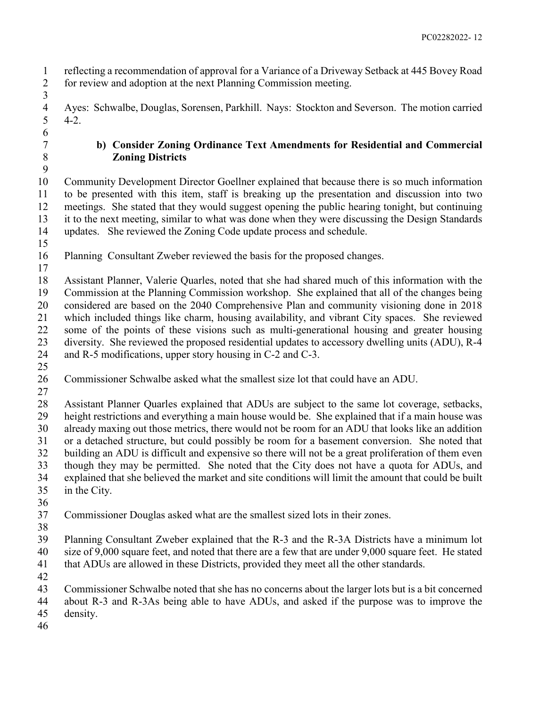reflecting a recommendation of approval for a Variance of a Driveway Setback at 445 Bovey Road for review and adoption at the next Planning Commission meeting.

- 4 Ayes: Schwalbe, Douglas, Sorensen, Parkhill. Nays: Stockton and Severson. The motion carried 4-2.  $4 - 2.$
- 

- 
- 

### **b) Consider Zoning Ordinance Text Amendments for Residential and Commercial Zoning Districts**

 Community Development Director Goellner explained that because there is so much information to be presented with this item, staff is breaking up the presentation and discussion into two meetings. She stated that they would suggest opening the public hearing tonight, but continuing it to the next meeting, similar to what was done when they were discussing the Design Standards updates. She reviewed the Zoning Code update process and schedule.

Planning Consultant Zweber reviewed the basis for the proposed changes.

 Assistant Planner, Valerie Quarles, noted that she had shared much of this information with the Commission at the Planning Commission workshop. She explained that all of the changes being considered are based on the 2040 Comprehensive Plan and community visioning done in 2018 which included things like charm, housing availability, and vibrant City spaces. She reviewed some of the points of these visions such as multi-generational housing and greater housing diversity. She reviewed the proposed residential updates to accessory dwelling units (ADU), R-4 and R-5 modifications, upper story housing in C-2 and C-3. 

- Commissioner Schwalbe asked what the smallest size lot that could have an ADU.
- 

 Assistant Planner Quarles explained that ADUs are subject to the same lot coverage, setbacks, height restrictions and everything a main house would be. She explained that if a main house was already maxing out those metrics, there would not be room for an ADU that looks like an addition or a detached structure, but could possibly be room for a basement conversion. She noted that building an ADU is difficult and expensive so there will not be a great proliferation of them even though they may be permitted. She noted that the City does not have a quota for ADUs, and explained that she believed the market and site conditions will limit the amount that could be built in the City.

Commissioner Douglas asked what are the smallest sized lots in their zones.

 Planning Consultant Zweber explained that the R-3 and the R-3A Districts have a minimum lot size of 9,000 square feet, and noted that there are a few that are under 9,000 square feet. He stated

- that ADUs are allowed in these Districts, provided they meet all the other standards.
- 

 Commissioner Schwalbe noted that she has no concerns about the larger lots but is a bit concerned about R-3 and R-3As being able to have ADUs, and asked if the purpose was to improve the

- density.
-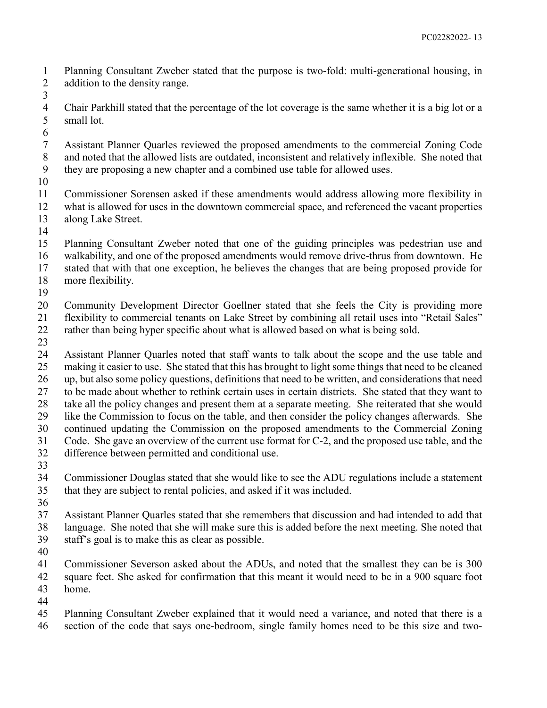Planning Consultant Zweber stated that the purpose is two-fold: multi-generational housing, in addition to the density range. 

- Chair Parkhill stated that the percentage of the lot coverage is the same whether it is a big lot or a small lot.
- 

 Assistant Planner Quarles reviewed the proposed amendments to the commercial Zoning Code and noted that the allowed lists are outdated, inconsistent and relatively inflexible. She noted that they are proposing a new chapter and a combined use table for allowed uses.

 Commissioner Sorensen asked if these amendments would address allowing more flexibility in what is allowed for uses in the downtown commercial space, and referenced the vacant properties along Lake Street.

 Planning Consultant Zweber noted that one of the guiding principles was pedestrian use and walkability, and one of the proposed amendments would remove drive-thrus from downtown. He stated that with that one exception, he believes the changes that are being proposed provide for more flexibility.

 Community Development Director Goellner stated that she feels the City is providing more flexibility to commercial tenants on Lake Street by combining all retail uses into "Retail Sales" rather than being hyper specific about what is allowed based on what is being sold.

 Assistant Planner Quarles noted that staff wants to talk about the scope and the use table and making it easier to use. She stated that this has brought to light some things that need to be cleaned up, but also some policy questions, definitions that need to be written, and considerations that need to be made about whether to rethink certain uses in certain districts. She stated that they want to take all the policy changes and present them at a separate meeting. She reiterated that she would like the Commission to focus on the table, and then consider the policy changes afterwards. She continued updating the Commission on the proposed amendments to the Commercial Zoning Code. She gave an overview of the current use format for C-2, and the proposed use table, and the difference between permitted and conditional use.

 Commissioner Douglas stated that she would like to see the ADU regulations include a statement that they are subject to rental policies, and asked if it was included.

 Assistant Planner Quarles stated that she remembers that discussion and had intended to add that language. She noted that she will make sure this is added before the next meeting. She noted that staff's goal is to make this as clear as possible.

 Commissioner Severson asked about the ADUs, and noted that the smallest they can be is 300 square feet. She asked for confirmation that this meant it would need to be in a 900 square foot home.

 Planning Consultant Zweber explained that it would need a variance, and noted that there is a section of the code that says one-bedroom, single family homes need to be this size and two-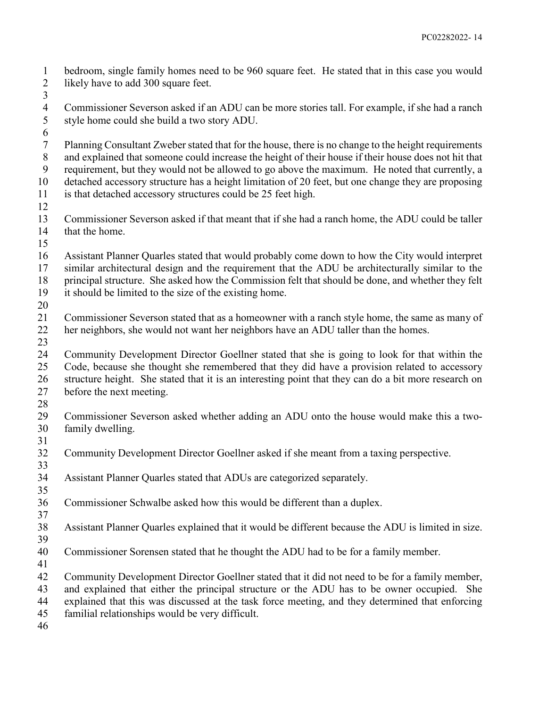bedroom, single family homes need to be 960 square feet. He stated that in this case you would 2 likely have to add 300 square feet. 

- Commissioner Severson asked if an ADU can be more stories tall. For example, if she had a ranch style home could she build a two story ADU.
- 
- Planning Consultant Zweber stated that for the house, there is no change to the height requirements and explained that someone could increase the height of their house if their house does not hit that requirement, but they would not be allowed to go above the maximum. He noted that currently, a detached accessory structure has a height limitation of 20 feet, but one change they are proposing is that detached accessory structures could be 25 feet high.
- 
- Commissioner Severson asked if that meant that if she had a ranch home, the ADU could be taller that the home.
- 

 Assistant Planner Quarles stated that would probably come down to how the City would interpret similar architectural design and the requirement that the ADU be architecturally similar to the principal structure. She asked how the Commission felt that should be done, and whether they felt it should be limited to the size of the existing home.

 Commissioner Severson stated that as a homeowner with a ranch style home, the same as many of her neighbors, she would not want her neighbors have an ADU taller than the homes.

 Community Development Director Goellner stated that she is going to look for that within the Code, because she thought she remembered that they did have a provision related to accessory structure height. She stated that it is an interesting point that they can do a bit more research on before the next meeting.

- Commissioner Severson asked whether adding an ADU onto the house would make this a two-family dwelling.
- 

Community Development Director Goellner asked if she meant from a taxing perspective.

 Assistant Planner Quarles stated that ADUs are categorized separately. 

Commissioner Schwalbe asked how this would be different than a duplex.

 Assistant Planner Quarles explained that it would be different because the ADU is limited in size. 

- Commissioner Sorensen stated that he thought the ADU had to be for a family member.
- 

Community Development Director Goellner stated that it did not need to be for a family member,

and explained that either the principal structure or the ADU has to be owner occupied. She

explained that this was discussed at the task force meeting, and they determined that enforcing

familial relationships would be very difficult.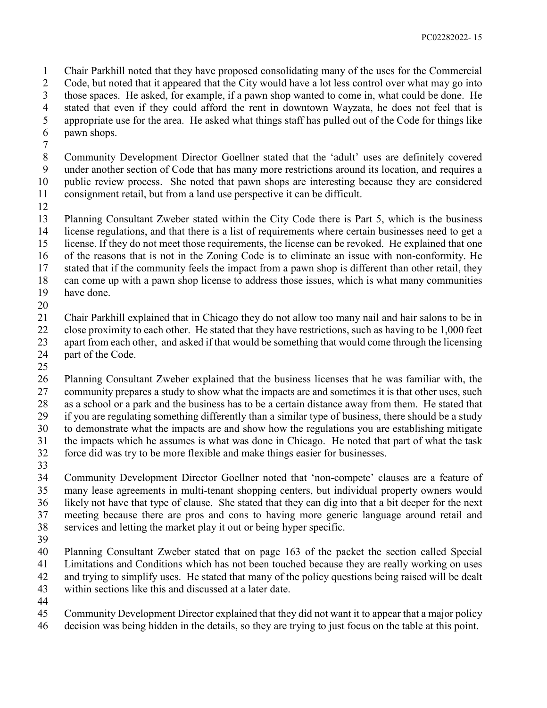Chair Parkhill noted that they have proposed consolidating many of the uses for the Commercial Code, but noted that it appeared that the City would have a lot less control over what may go into those spaces. He asked, for example, if a pawn shop wanted to come in, what could be done. He stated that even if they could afford the rent in downtown Wayzata, he does not feel that is appropriate use for the area. He asked what things staff has pulled out of the Code for things like pawn shops.

 Community Development Director Goellner stated that the 'adult' uses are definitely covered under another section of Code that has many more restrictions around its location, and requires a public review process. She noted that pawn shops are interesting because they are considered consignment retail, but from a land use perspective it can be difficult.

 Planning Consultant Zweber stated within the City Code there is Part 5, which is the business license regulations, and that there is a list of requirements where certain businesses need to get a license. If they do not meet those requirements, the license can be revoked. He explained that one of the reasons that is not in the Zoning Code is to eliminate an issue with non-conformity. He stated that if the community feels the impact from a pawn shop is different than other retail, they can come up with a pawn shop license to address those issues, which is what many communities have done.

 Chair Parkhill explained that in Chicago they do not allow too many nail and hair salons to be in close proximity to each other. He stated that they have restrictions, such as having to be 1,000 feet apart from each other, and asked if that would be something that would come through the licensing part of the Code.

 Planning Consultant Zweber explained that the business licenses that he was familiar with, the 27 community prepares a study to show what the impacts are and sometimes it is that other uses, such as a school or a park and the business has to be a certain distance away from them. He stated that

if you are regulating something differently than a similar type of business, there should be a study

to demonstrate what the impacts are and show how the regulations you are establishing mitigate

the impacts which he assumes is what was done in Chicago. He noted that part of what the task

 force did was try to be more flexible and make things easier for businesses. 

 Community Development Director Goellner noted that 'non-compete' clauses are a feature of many lease agreements in multi-tenant shopping centers, but individual property owners would likely not have that type of clause. She stated that they can dig into that a bit deeper for the next meeting because there are pros and cons to having more generic language around retail and services and letting the market play it out or being hyper specific.

 Planning Consultant Zweber stated that on page 163 of the packet the section called Special Limitations and Conditions which has not been touched because they are really working on uses and trying to simplify uses. He stated that many of the policy questions being raised will be dealt within sections like this and discussed at a later date.

Community Development Director explained that they did not want it to appear that a major policy

decision was being hidden in the details, so they are trying to just focus on the table at this point.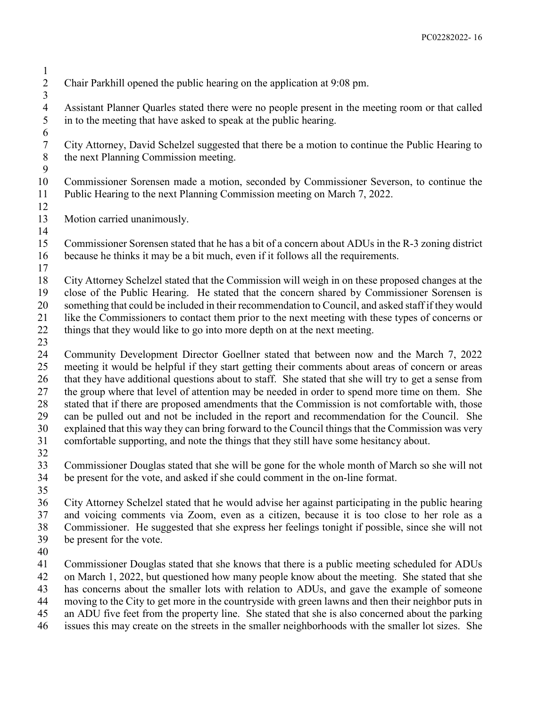- Chair Parkhill opened the public hearing on the application at 9:08 pm. 4 Assistant Planner Quarles stated there were no people present in the meeting room or that called<br>5 in to the meeting that have asked to speak at the public hearing. in to the meeting that have asked to speak at the public hearing. City Attorney, David Schelzel suggested that there be a motion to continue the Public Hearing to the next Planning Commission meeting. Commissioner Sorensen made a motion, seconded by Commissioner Severson, to continue the Public Hearing to the next Planning Commission meeting on March 7, 2022. Motion carried unanimously. Commissioner Sorensen stated that he has a bit of a concern about ADUs in the R-3 zoning district because he thinks it may be a bit much, even if it follows all the requirements. City Attorney Schelzel stated that the Commission will weigh in on these proposed changes at the close of the Public Hearing. He stated that the concern shared by Commissioner Sorensen is something that could be included in their recommendation to Council, and asked staff if they would like the Commissioners to contact them prior to the next meeting with these types of concerns or 22 things that they would like to go into more depth on at the next meeting. Community Development Director Goellner stated that between now and the March 7, 2022 meeting it would be helpful if they start getting their comments about areas of concern or areas that they have additional questions about to staff. She stated that she will try to get a sense from the group where that level of attention may be needed in order to spend more time on them. She stated that if there are proposed amendments that the Commission is not comfortable with, those can be pulled out and not be included in the report and recommendation for the Council. She explained that this way they can bring forward to the Council things that the Commission was very comfortable supporting, and note the things that they still have some hesitancy about. Commissioner Douglas stated that she will be gone for the whole month of March so she will not be present for the vote, and asked if she could comment in the on-line format. City Attorney Schelzel stated that he would advise her against participating in the public hearing and voicing comments via Zoom, even as a citizen, because it is too close to her role as a Commissioner. He suggested that she express her feelings tonight if possible, since she will not be present for the vote. Commissioner Douglas stated that she knows that there is a public meeting scheduled for ADUs on March 1, 2022, but questioned how many people know about the meeting. She stated that she has concerns about the smaller lots with relation to ADUs, and gave the example of someone moving to the City to get more in the countryside with green lawns and then their neighbor puts in
- an ADU five feet from the property line. She stated that she is also concerned about the parking
- issues this may create on the streets in the smaller neighborhoods with the smaller lot sizes. She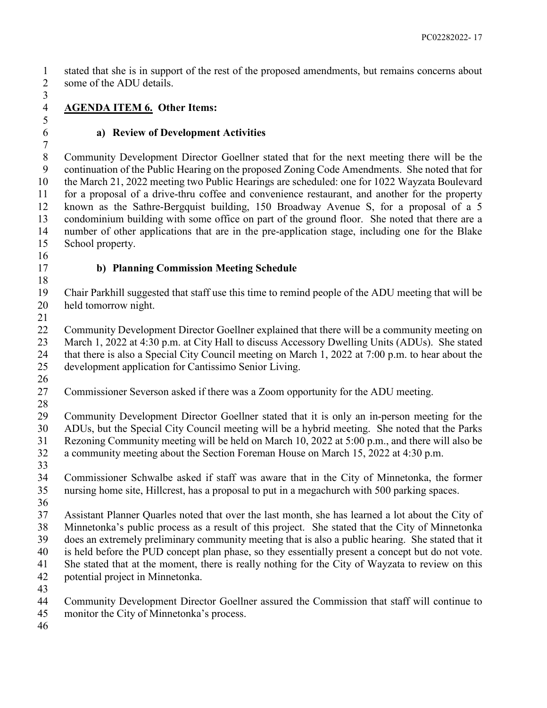stated that she is in support of the rest of the proposed amendments, but remains concerns about some of the ADU details.

 

**AGENDA ITEM 6. Other Items:**

## **a) Review of Development Activities**

 Community Development Director Goellner stated that for the next meeting there will be the continuation of the Public Hearing on the proposed Zoning Code Amendments. She noted that for the March 21, 2022 meeting two Public Hearings are scheduled: one for 1022 Wayzata Boulevard for a proposal of a drive-thru coffee and convenience restaurant, and another for the property known as the Sathre-Bergquist building, 150 Broadway Avenue S, for a proposal of a 5 condominium building with some office on part of the ground floor. She noted that there are a number of other applications that are in the pre-application stage, including one for the Blake School property. 

# **b) Planning Commission Meeting Schedule**

 Chair Parkhill suggested that staff use this time to remind people of the ADU meeting that will be held tomorrow night.

22 Community Development Director Goellner explained that there will be a community meeting on March 1, 2022 at 4:30 p.m. at City Hall to discuss Accessory Dwelling Units (ADUs). She stated that there is also a Special City Council meeting on March 1, 2022 at 7:00 p.m. to hear about the development application for Cantissimo Senior Living.

- 
- Commissioner Severson asked if there was a Zoom opportunity for the ADU meeting.
- 

 Community Development Director Goellner stated that it is only an in-person meeting for the ADUs, but the Special City Council meeting will be a hybrid meeting. She noted that the Parks Rezoning Community meeting will be held on March 10, 2022 at 5:00 p.m., and there will also be a community meeting about the Section Foreman House on March 15, 2022 at 4:30 p.m.

- 
- Commissioner Schwalbe asked if staff was aware that in the City of Minnetonka, the former nursing home site, Hillcrest, has a proposal to put in a megachurch with 500 parking spaces.
- 

 Assistant Planner Quarles noted that over the last month, she has learned a lot about the City of Minnetonka's public process as a result of this project. She stated that the City of Minnetonka does an extremely preliminary community meeting that is also a public hearing. She stated that it is held before the PUD concept plan phase, so they essentially present a concept but do not vote. She stated that at the moment, there is really nothing for the City of Wayzata to review on this potential project in Minnetonka.

- 
- Community Development Director Goellner assured the Commission that staff will continue to
- monitor the City of Minnetonka's process.
-